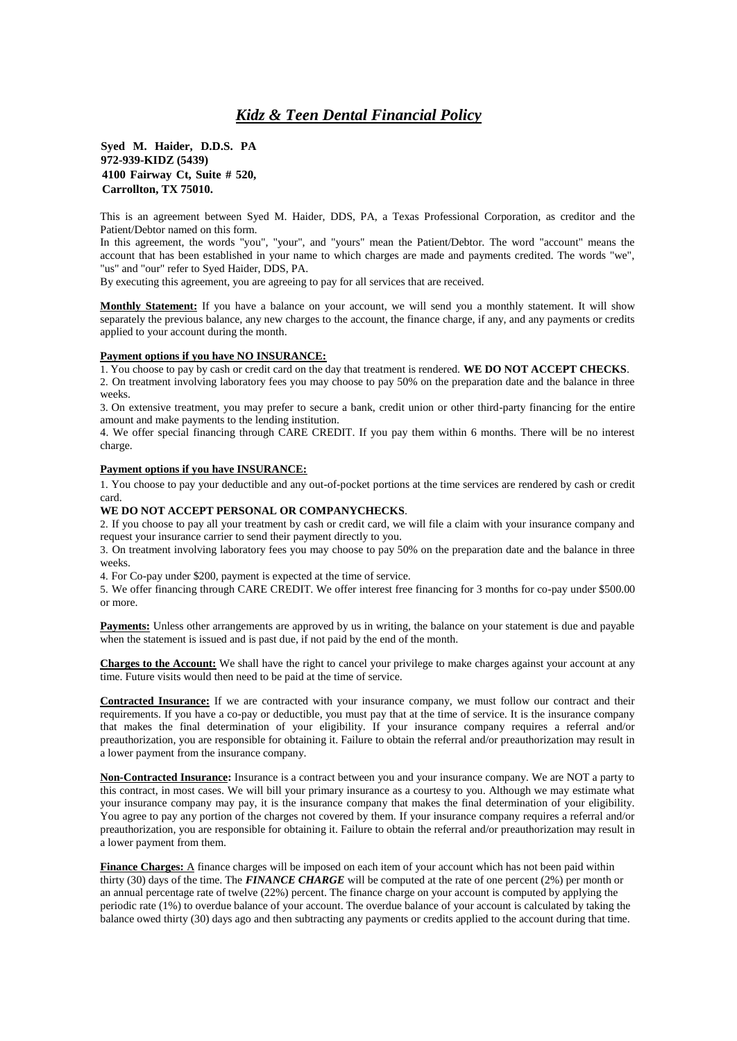## *Kidz & Teen Dental Financial Policy*

**Syed M. Haider, D.D.S. PA 972-939-KIDZ (5439) 4100 Fairway Ct, Suite # 520, Carrollton, TX 75010.**

This is an agreement between Syed M. Haider, DDS, PA, a Texas Professional Corporation, as creditor and the Patient/Debtor named on this form.

In this agreement, the words "you", "your", and "yours" mean the Patient/Debtor. The word "account" means the account that has been established in your name to which charges are made and payments credited. The words "we", "us" and "our" refer to Syed Haider, DDS, PA.

By executing this agreement, you are agreeing to pay for all services that are received.

**Monthly Statement:** If you have a balance on your account, we will send you a monthly statement. It will show separately the previous balance, any new charges to the account, the finance charge, if any, and any payments or credits applied to your account during the month.

## **Payment options if you have NO INSURANCE:**

1. You choose to pay by cash or credit card on the day that treatment is rendered. **WE DO NOT ACCEPT CHECKS**.

2. On treatment involving laboratory fees you may choose to pay 50% on the preparation date and the balance in three weeks.

3. On extensive treatment, you may prefer to secure a bank, credit union or other third-party financing for the entire amount and make payments to the lending institution.

4. We offer special financing through CARE CREDIT. If you pay them within 6 months. There will be no interest charge.

## **Payment options if you have INSURANCE:**

1. You choose to pay your deductible and any out-of-pocket portions at the time services are rendered by cash or credit card.

## **WE DO NOT ACCEPT PERSONAL OR COMPANYCHECKS**.

2. If you choose to pay all your treatment by cash or credit card, we will file a claim with your insurance company and request your insurance carrier to send their payment directly to you.

3. On treatment involving laboratory fees you may choose to pay 50% on the preparation date and the balance in three weeks.

4. For Co-pay under \$200, payment is expected at the time of service.

5. We offer financing through CARE CREDIT. We offer interest free financing for 3 months for co-pay under \$500.00 or more.

**Payments:** Unless other arrangements are approved by us in writing, the balance on your statement is due and payable when the statement is issued and is past due, if not paid by the end of the month.

**Charges to the Account:** We shall have the right to cancel your privilege to make charges against your account at any time. Future visits would then need to be paid at the time of service.

**Contracted Insurance:** If we are contracted with your insurance company, we must follow our contract and their requirements. If you have a co-pay or deductible, you must pay that at the time of service. It is the insurance company that makes the final determination of your eligibility. If your insurance company requires a referral and/or preauthorization, you are responsible for obtaining it. Failure to obtain the referral and/or preauthorization may result in a lower payment from the insurance company.

**Non-Contracted Insurance:** Insurance is a contract between you and your insurance company. We are NOT a party to this contract, in most cases. We will bill your primary insurance as a courtesy to you. Although we may estimate what your insurance company may pay, it is the insurance company that makes the final determination of your eligibility. You agree to pay any portion of the charges not covered by them. If your insurance company requires a referral and/or preauthorization, you are responsible for obtaining it. Failure to obtain the referral and/or preauthorization may result in a lower payment from them.

**Finance Charges:** A finance charges will be imposed on each item of your account which has not been paid within thirty (30) days of the time. The *FINANCE CHARGE* will be computed at the rate of one percent (2%) per month or an annual percentage rate of twelve (22%) percent. The finance charge on your account is computed by applying the periodic rate (1%) to overdue balance of your account. The overdue balance of your account is calculated by taking the balance owed thirty (30) days ago and then subtracting any payments or credits applied to the account during that time.